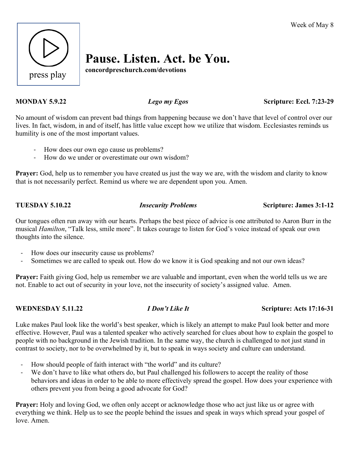

# **Pause. Listen. Act. be You.**

**concordpreschurch.com/devotions**

**MONDAY 5.9.22** *Lego my Egos* Scripture: Eccl. 7:23-29

No amount of wisdom can prevent bad things from happening because we don't have that level of control over our lives. In fact, wisdom, in and of itself, has little value except how we utilize that wisdom. Ecclesiastes reminds us humility is one of the most important values.

- How does our own ego cause us problems?
- How do we under or overestimate our own wisdom?

**Prayer:** God, help us to remember you have created us just the way we are, with the wisdom and clarity to know that is not necessarily perfect. Remind us where we are dependent upon you. Amen.

**TUESDAY 5.10.22** *Insecurity Problems* **Scripture: James 3:1-12**

Our tongues often run away with our hearts. Perhaps the best piece of advice is one attributed to Aaron Burr in the musical *Hamilton*, "Talk less, smile more". It takes courage to listen for God's voice instead of speak our own thoughts into the silence.

- How does our insecurity cause us problems?
- Sometimes we are called to speak out. How do we know it is God speaking and not our own ideas?

**Prayer:** Faith giving God, help us remember we are valuable and important, even when the world tells us we are not. Enable to act out of security in your love, not the insecurity of society's assigned value. Amen.

### **WEDNESDAY 5.11.22** *I Don't Like It* **Scripture: Acts 17:16-31**

Luke makes Paul look like the world's best speaker, which is likely an attempt to make Paul look better and more effective. However, Paul was a talented speaker who actively searched for clues about how to explain the gospel to people with no background in the Jewish tradition. In the same way, the church is challenged to not just stand in contrast to society, nor to be overwhelmed by it, but to speak in ways society and culture can understand.

- How should people of faith interact with "the world" and its culture?
- We don't have to like what others do, but Paul challenged his followers to accept the reality of those behaviors and ideas in order to be able to more effectively spread the gospel. How does your experience with others prevent you from being a good advocate for God?

**Prayer:** Holy and loving God, we often only accept or acknowledge those who act just like us or agree with everything we think. Help us to see the people behind the issues and speak in ways which spread your gospel of love. Amen.